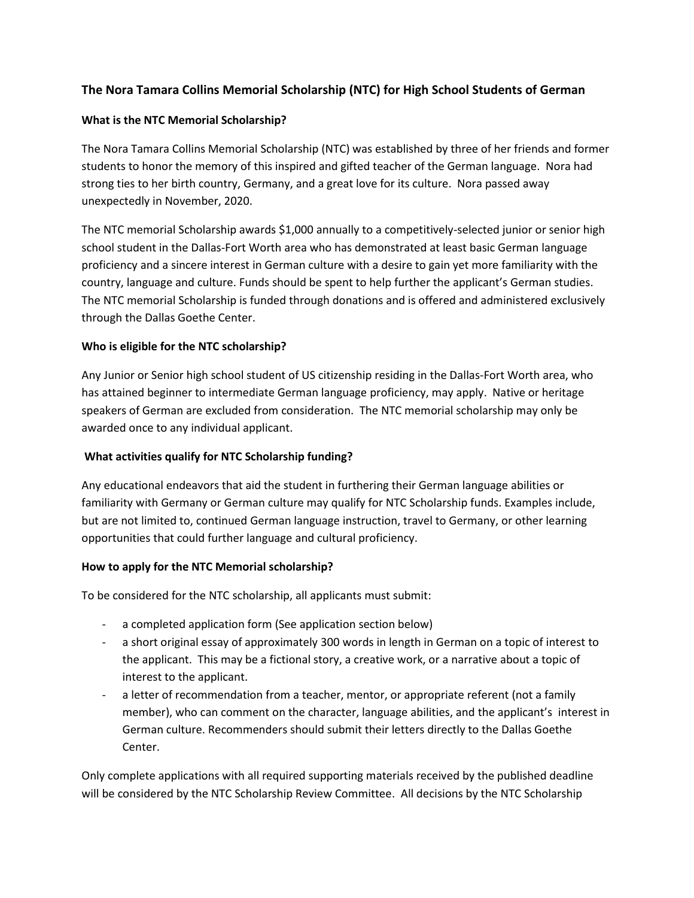# **The Nora Tamara Collins Memorial Scholarship (NTC) for High School Students of German**

### **What is the NTC Memorial Scholarship?**

The Nora Tamara Collins Memorial Scholarship (NTC) was established by three of her friends and former students to honor the memory of this inspired and gifted teacher of the German language. Nora had strong ties to her birth country, Germany, and a great love for its culture. Nora passed away unexpectedly in November, 2020.

The NTC memorial Scholarship awards \$1,000 annually to a competitively-selected junior or senior high school student in the Dallas-Fort Worth area who has demonstrated at least basic German language proficiency and a sincere interest in German culture with a desire to gain yet more familiarity with the country, language and culture. Funds should be spent to help further the applicant's German studies. The NTC memorial Scholarship is funded through donations and is offered and administered exclusively through the Dallas Goethe Center.

### **Who is eligible for the NTC scholarship?**

Any Junior or Senior high school student of US citizenship residing in the Dallas-Fort Worth area, who has attained beginner to intermediate German language proficiency, may apply. Native or heritage speakers of German are excluded from consideration. The NTC memorial scholarship may only be awarded once to any individual applicant.

#### **What activities qualify for NTC Scholarship funding?**

Any educational endeavors that aid the student in furthering their German language abilities or familiarity with Germany or German culture may qualify for NTC Scholarship funds. Examples include, but are not limited to, continued German language instruction, travel to Germany, or other learning opportunities that could further language and cultural proficiency.

#### **How to apply for the NTC Memorial scholarship?**

To be considered for the NTC scholarship, all applicants must submit:

- a completed application form (See application section below)
- a short original essay of approximately 300 words in length in German on a topic of interest to the applicant. This may be a fictional story, a creative work, or a narrative about a topic of interest to the applicant.
- a letter of recommendation from a teacher, mentor, or appropriate referent (not a family member), who can comment on the character, language abilities, and the applicant's interest in German culture. Recommenders should submit their letters directly to the Dallas Goethe Center.

Only complete applications with all required supporting materials received by the published deadline will be considered by the NTC Scholarship Review Committee. All decisions by the NTC Scholarship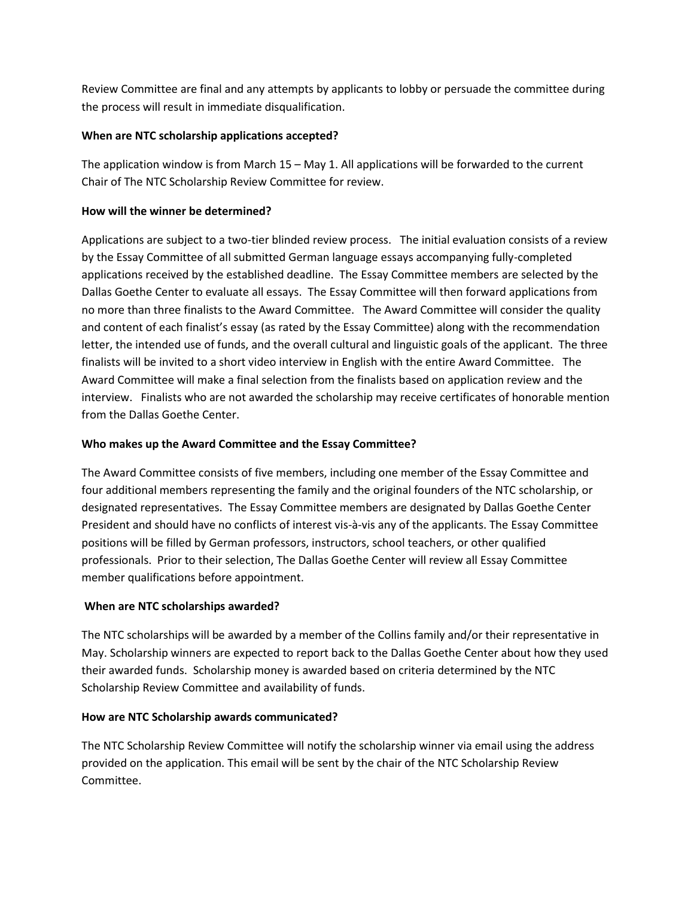Review Committee are final and any attempts by applicants to lobby or persuade the committee during the process will result in immediate disqualification.

# **When are NTC scholarship applications accepted?**

The application window is from March 15 – May 1. All applications will be forwarded to the current Chair of The NTC Scholarship Review Committee for review.

### **How will the winner be determined?**

Applications are subject to a two-tier blinded review process. The initial evaluation consists of a review by the Essay Committee of all submitted German language essays accompanying fully-completed applications received by the established deadline. The Essay Committee members are selected by the Dallas Goethe Center to evaluate all essays. The Essay Committee will then forward applications from no more than three finalists to the Award Committee. The Award Committee will consider the quality and content of each finalist's essay (as rated by the Essay Committee) along with the recommendation letter, the intended use of funds, and the overall cultural and linguistic goals of the applicant. The three finalists will be invited to a short video interview in English with the entire Award Committee. The Award Committee will make a final selection from the finalists based on application review and the interview. Finalists who are not awarded the scholarship may receive certificates of honorable mention from the Dallas Goethe Center.

### **Who makes up the Award Committee and the Essay Committee?**

The Award Committee consists of five members, including one member of the Essay Committee and four additional members representing the family and the original founders of the NTC scholarship, or designated representatives. The Essay Committee members are designated by Dallas Goethe Center President and should have no conflicts of interest vis-à-vis any of the applicants. The Essay Committee positions will be filled by German professors, instructors, school teachers, or other qualified professionals. Prior to their selection, The Dallas Goethe Center will review all Essay Committee member qualifications before appointment.

# **When are NTC scholarships awarded?**

The NTC scholarships will be awarded by a member of the Collins family and/or their representative in May. Scholarship winners are expected to report back to the Dallas Goethe Center about how they used their awarded funds. Scholarship money is awarded based on criteria determined by the NTC Scholarship Review Committee and availability of funds.

# **How are NTC Scholarship awards communicated?**

The NTC Scholarship Review Committee will notify the scholarship winner via email using the address provided on the application. This email will be sent by the chair of the NTC Scholarship Review Committee.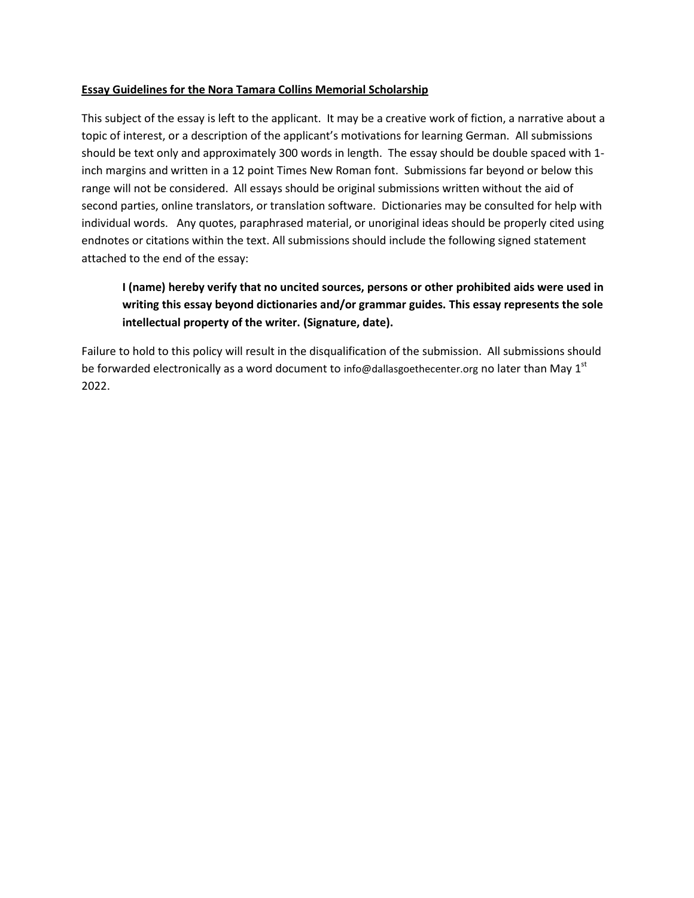#### **Essay Guidelines for the Nora Tamara Collins Memorial Scholarship**

This subject of the essay is left to the applicant. It may be a creative work of fiction, a narrative about a topic of interest, or a description of the applicant's motivations for learning German. All submissions should be text only and approximately 300 words in length. The essay should be double spaced with 1 inch margins and written in a 12 point Times New Roman font. Submissions far beyond or below this range will not be considered. All essays should be original submissions written without the aid of second parties, online translators, or translation software. Dictionaries may be consulted for help with individual words. Any quotes, paraphrased material, or unoriginal ideas should be properly cited using endnotes or citations within the text. All submissions should include the following signed statement attached to the end of the essay:

# **I (name) hereby verify that no uncited sources, persons or other prohibited aids were used in writing this essay beyond dictionaries and/or grammar guides. This essay represents the sole intellectual property of the writer. (Signature, date).**

Failure to hold to this policy will result in the disqualification of the submission. All submissions should be forwarded electronically as a word document to info@dallasgoethecenter.org no later than May  $1<sup>st</sup>$ 2022.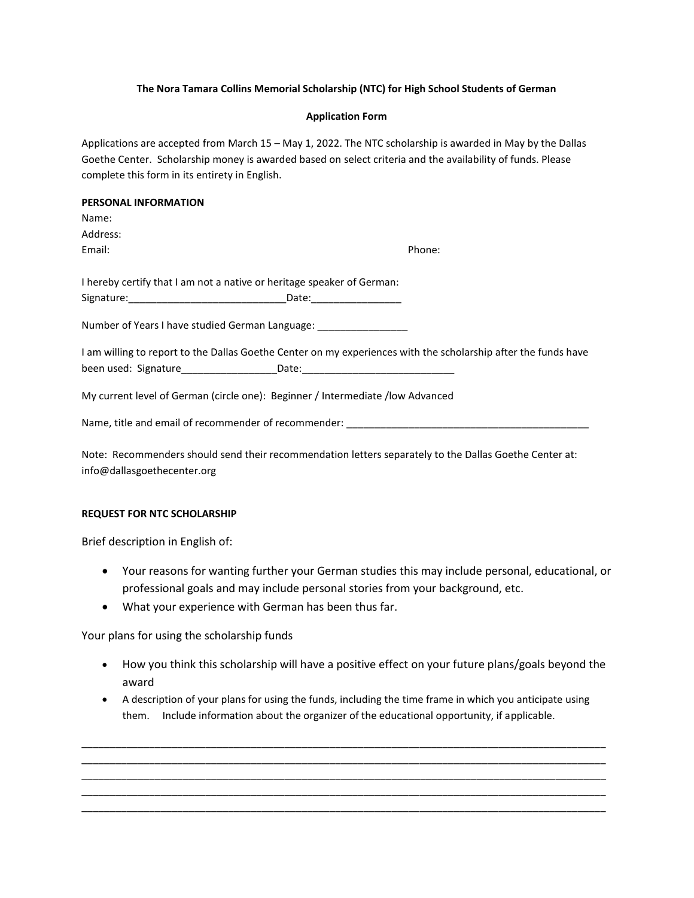#### **The Nora Tamara Collins Memorial Scholarship (NTC) for High School Students of German**

#### **Application Form**

Applications are accepted from March 15 – May 1, 2022. The NTC scholarship is awarded in May by the Dallas Goethe Center. Scholarship money is awarded based on select criteria and the availability of funds. Please complete this form in its entirety in English.

#### **PERSONAL INFORMATION**

| Name:                                                                                                          |                     |  |
|----------------------------------------------------------------------------------------------------------------|---------------------|--|
| Address:                                                                                                       |                     |  |
| Email:                                                                                                         | Phone:              |  |
|                                                                                                                |                     |  |
| I hereby certify that I am not a native or heritage speaker of German:                                         |                     |  |
|                                                                                                                | Date: _____________ |  |
| Number of Years I have studied German Language: ________________________________                               |                     |  |
| I am willing to report to the Dallas Goethe Center on my experiences with the scholarship after the funds have |                     |  |

My current level of German (circle one): Beginner / Intermediate /low Advanced

Name, title and email of recommender of recommender: \_\_\_\_\_\_\_\_\_\_\_\_\_\_\_\_\_\_\_\_\_\_\_\_\_\_\_

Note: Recommenders should send their recommendation letters separately to the Dallas Goethe Center at: info@dallasgoethecenter.org

#### **REQUEST FOR NTC SCHOLARSHIP**

Brief description in English of:

- Your reasons for wanting further your German studies this may include personal, educational, or professional goals and may include personal stories from your background, etc.
- What your experience with German has been thus far.

Your plans for using the scholarship funds

- How you think this scholarship will have a positive effect on your future plans/goals beyond the award
- A description of your plans for using the funds, including the time frame in which you anticipate using them. Include information about the organizer of the educational opportunity, if applicable.

\_\_\_\_\_\_\_\_\_\_\_\_\_\_\_\_\_\_\_\_\_\_\_\_\_\_\_\_\_\_\_\_\_\_\_\_\_\_\_\_\_\_\_\_\_\_\_\_\_\_\_\_\_\_\_\_\_\_\_\_\_\_\_\_\_\_\_\_\_\_\_\_\_\_\_\_\_\_\_\_\_\_\_\_\_\_\_\_\_\_\_\_\_ \_\_\_\_\_\_\_\_\_\_\_\_\_\_\_\_\_\_\_\_\_\_\_\_\_\_\_\_\_\_\_\_\_\_\_\_\_\_\_\_\_\_\_\_\_\_\_\_\_\_\_\_\_\_\_\_\_\_\_\_\_\_\_\_\_\_\_\_\_\_\_\_\_\_\_\_\_\_\_\_\_\_\_\_\_\_\_\_\_\_\_\_\_ \_\_\_\_\_\_\_\_\_\_\_\_\_\_\_\_\_\_\_\_\_\_\_\_\_\_\_\_\_\_\_\_\_\_\_\_\_\_\_\_\_\_\_\_\_\_\_\_\_\_\_\_\_\_\_\_\_\_\_\_\_\_\_\_\_\_\_\_\_\_\_\_\_\_\_\_\_\_\_\_\_\_\_\_\_\_\_\_\_\_\_\_\_ \_\_\_\_\_\_\_\_\_\_\_\_\_\_\_\_\_\_\_\_\_\_\_\_\_\_\_\_\_\_\_\_\_\_\_\_\_\_\_\_\_\_\_\_\_\_\_\_\_\_\_\_\_\_\_\_\_\_\_\_\_\_\_\_\_\_\_\_\_\_\_\_\_\_\_\_\_\_\_\_\_\_\_\_\_\_\_\_\_\_\_\_\_ \_\_\_\_\_\_\_\_\_\_\_\_\_\_\_\_\_\_\_\_\_\_\_\_\_\_\_\_\_\_\_\_\_\_\_\_\_\_\_\_\_\_\_\_\_\_\_\_\_\_\_\_\_\_\_\_\_\_\_\_\_\_\_\_\_\_\_\_\_\_\_\_\_\_\_\_\_\_\_\_\_\_\_\_\_\_\_\_\_\_\_\_\_